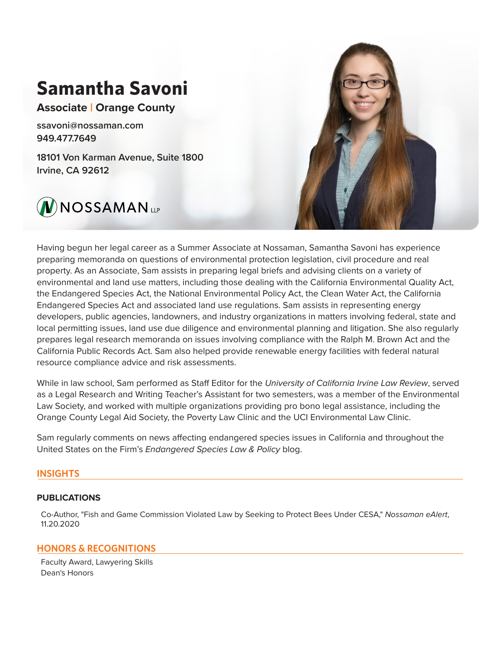# **Samantha Savoni**

**Associate | Orange County**

ssavoni@nossaman.com 949.477.7649

18101 Von Karman Avenue, Suite 1800 Irvine, CA 92612





Having begun her legal career as a Summer Associate at Nossaman, Samantha Savoni has experience preparing memoranda on questions of environmental protection legislation, civil procedure and real property. As an Associate, Sam assists in preparing legal briefs and advising clients on a variety of environmental and land use matters, including those dealing with the California Environmental Quality Act, the Endangered Species Act, the National Environmental Policy Act, the Clean Water Act, the California Endangered Species Act and associated land use regulations. Sam assists in representing energy developers, public agencies, landowners, and industry organizations in matters involving federal, state and local permitting issues, land use due diligence and environmental planning and litigation. She also regularly prepares legal research memoranda on issues involving compliance with the Ralph M. Brown Act and the California Public Records Act. Sam also helped provide renewable energy facilities with federal natural resource compliance advice and risk assessments.

While in law school, Sam performed as Staff Editor for the *University of California Irvine Law Review*, served as a Legal Research and Writing Teacher's Assistant for two semesters, was a member of the Environmental Law Society, and worked with multiple organizations providing pro bono legal assistance, including the Orange County Legal Aid Society, the Poverty Law Clinic and the UCI Environmental Law Clinic.

Sam regularly comments on news affecting endangered species issues in California and throughout the United States on the Firm's *Endangered Species Law & Policy* blog.

## **INSIGHTS**

## **PUBLICATIONS**

Co-Author, "Fish and Game Commission Violated Law by Seeking to Protect Bees Under CESA," *Nossaman eAlert*, 11.20.2020

## **HONORS & RECOGNITIONS**

Faculty Award, Lawyering Skills Dean's Honors